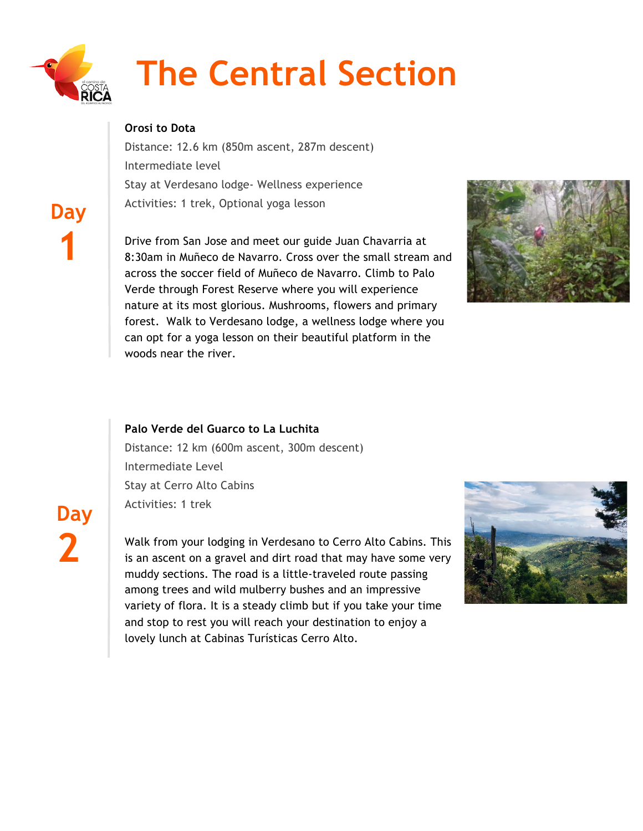

 **Day**

**1**

# **The Central Section**

## **Orosi to Dota**

Distance: 12.6 km (850m ascent, 287m descent) Intermediate level Stay at Verdesano lodge- Wellness experience Activities: 1 trek, Optional yoga lesson

Drive from San Jose and meet our guide Juan Chavarria at 8:30am in Muñeco de Navarro. Cross over the small stream and across the soccer field of Muñeco de Navarro. Climb to Palo Verde through Forest Reserve where you will experience nature at its most glorious. Mushrooms, flowers and primary forest. Walk to Verdesano lodge, a wellness lodge where you can opt for a yoga lesson on their beautiful platform in the woods near the river.



### **Palo Verde del Guarco to La Luchita**

Distance: 12 km (600m ascent, 300m descent) Intermediate Level Stay at Cerro Alto Cabins Activities: 1 trek

**Day 2**

Walk from your lodging in Verdesano to Cerro Alto Cabins. This is an ascent on a gravel and dirt road that may have some very muddy sections. The road is a little-traveled route passing among trees and wild mulberry bushes and an impressive variety of flora. It is a steady climb but if you take your time and stop to rest you will reach your destination to enjoy a lovely lunch at Cabinas Turísticas Cerro Alto.